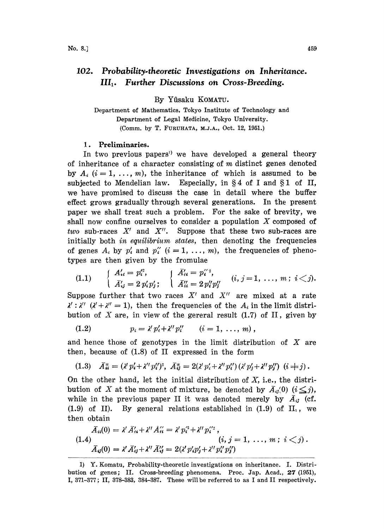## 102. Probability.theoretic Investigations on Inheritance. III<sub>1</sub>. Further Discussions on Cross-Breeding.

By Yfisaku KOMATU.

Department of Mathematics, Tokyo Institute of Technology and Department of Legal Medicine, Tokyo University. (Comm. by T. FURUHATA, M.J.A., Oct. 12, 1951.)

## 1. Preliminaries.

In two previous papers<sup>1</sup> we have developed a general theory of inheritance of <sup>a</sup> character consisting of m distinct genes denoted by  $A_i$  ( $i=1, ..., m$ ), the inheritance of which is assumed to be subjected to Mendelian law. Especially, in §4 of I and §1 of II, Especially, in  $\S 4$  of I and  $\S 1$  of II, we have promised to discuss the case in detail where the buffer effect grows gradually through several generations. In the present paper we shall treat such a problem. For the sake of brevity, we shall now confine ourselves to consider <sup>a</sup> population X composed of two sub-races  $X'$  and  $X''$ . Suppose that these two sub-races are initially both in equilibrium states, then denoting the frequencies of genes  $A_i$  by  $p'_i$  and  $p''_i$   $(i = 1, \ldots, m)$ , the frequencies of phenotypes are then given by the fromulae

$$
(1.1) \qquad \left\{\n \begin{array}{ll}\n A'_{ii} = p'^2_i, & \lambda'_{ii} = p'^2_{ii}, \\
 \bar{A}'_{ij} = 2 \, p'_i p'_j; & \lambda''_{ii} = 2 \, p''_i p''_j, \\
 \bar{A}''_{ii} = 2 \, p''_i p''_j, & \lambda''_{ii} = 1, \ \ldots, \ m \, ; \ i < j.\n \end{array}\n\right.
$$

Suppose further that two races  $X'$  and  $X''$  are mixed at a rate bution of  $X$  are, in view of the gereral result  $(1.7)$  of  $\Pi$ , given by  $(\lambda' + \lambda'') = 1$ , then the frequencies of the  $A_i$  in the limit distri-

(1.2) 
$$
p_i = \lambda' p'_i + \lambda'' p''_i \qquad (i = 1, ..., m),
$$

and hence those of genotypes in the limit distribution of  $X$  are then, because of (1.8) of II expressed in the form

$$
(1.3) \quad \bar{A}_{ii}^* = (\lambda' p_i' + \lambda'' p_i'')^2, \ \bar{A}_{ij}^* = 2(\lambda' p_i' + \lambda'' p_i'') (\lambda' p_j' + \lambda'' p_j'') \ (i \neq j).
$$

On the other hand, let the initial distribution of  $X$ , i.e., the distribution of X at the moment of mixture, be denoted by  $\bar{A}_{ij}(0)$   $(i \leq j)$ , while in the previous paper II it was denoted merely by  $\overline{A}_{ij}$  (cf.  $(1.9)$  of II). By general relations established in  $(1.9)$  of II<sub>1</sub>, we then obtain

$$
\bar{A}_{ii}(0) = \lambda' \bar{A}'_{ii} + \lambda'' \bar{A}''_{ii} = \lambda' p_i'^2 + \lambda'' p_i'^2 ,
$$
\n
$$
(1.4) \qquad (i, j = 1, \ldots, m; i < j) .
$$
\n
$$
\bar{A}_{ij}(0) = \lambda' \bar{A}'_{ij} + \lambda'' \bar{A}''_{ij} = 2(\lambda' p_i' p_j' + \lambda'' p_i'' p_j'').
$$

<sup>1)</sup> Y. Komatu, Probability-theoretic investigations on inheritance, i. Distribution of genes; II. Cross-breeding phenomena. Proc. Jap. Acad., 27 (1951), I, 371-377; II, 378-383, 384-387. These will be referred to as <sup>I</sup> and II respectively.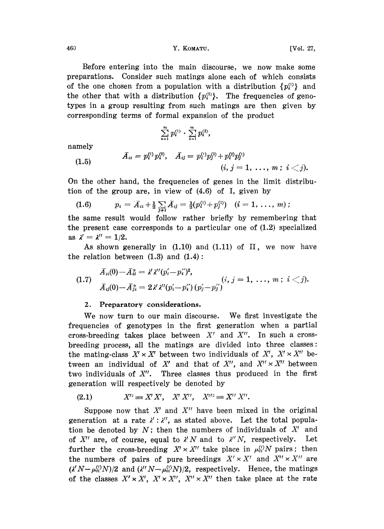460 **Y. KOMATU. WE SEE ALL SEE ALL SEE ALL SEE ALL SEE ALL SEE ALL SEE ALL SEE ALL SEE ALL SEE ALL SEE ALL SEE ALL SEE ALL SEE ALL SEE ALL SEE ALL SEE ALL SEE ALL SEE ALL SEE ALL SEE ALL SEE ALL SEE ALL SEE ALL SEE ALL S** 

Before entering into the main discourse, we now make some preparations. Consider such matings alone each of which consists of the one chosen from a population with a distribution  $\{p_i^{\text{(i)}}\}$  and the other that with a distribution  $\{p_i^{(2)}\}$ . The frequencies of genotypes in a group resulting from such matings are then given by corresponding terms of formal expansion of the product

$$
\sum_{i=1}^m p_i^{(1)} \cdot \sum_{i=1}^m p_i^{(2)},
$$

namely

$$
(1.5) \hspace{3.1em} \bar{A}_{ii} = p_{i}^{(1)}p_{i}^{(2)}, \hspace{3.0em} \bar{A}_{ij} = p_{i}^{(1)}p_{j}^{(2)}+p_{i}^{(2)}p_{j}^{(1)} \hspace{3.0em} (i,\hspace{0.05em} j=1,\hspace{0.05em} \ldots,\hspace{0.05em} m\hspace{0.05em};\hspace{0.05em} i
$$

On the other hand, the frequencies of genes in the limit distribution of the group are, in view of (4.6) of I, given by

(1.6) 
$$
p_i = \overline{A}_{ii} + \frac{1}{2} \sum_{j \neq i} \overline{A}_{ij} = \frac{1}{2} (p_i^{(1)} + p_j^{(2)}) \quad (i = 1, \ldots, m) ;
$$

 $\overline{A}_{ii} + \frac{1}{2} \sum_{j \neq i} \overline{A}_{ij} = \frac{1}{2}(p_i^{(1)} + p_j^{(2)})$   $(i = 1, ..., n)$ <br>vould follow rather briefly by remem<br>corresponds to a particular one of (1.2) the same result would follow rather briefly by remembering that the present case corresponds to a particular one of  $(1.2)$  specialized as  $\lambda' = \lambda'' = 1/2$ .

As shown generally in  $(1.10)$  and  $(1.11)$  of II, we now have the relation between  $(1.3)$  and  $(1.4)$ :

(1.7) 
$$
\bar{A}_{ii}(0) - \bar{A}_{ii}^* = \lambda' \lambda'' (p_i' - p_i'')^2, \bar{A}_{ij}(0) - \bar{A}_{ji}^* = 2\lambda' \lambda'' (p_i' - p_i'') (p_j' - p_j'') \n(i, j = 1, ..., m; i < j).
$$

## 2. Preparatory considerations.

We now turn to our main diseourse. We first investigate the :frequencies of genotypes in the first generation when a partial cross-breeding takes place between  $X'$  and  $X''$ . In such a crossbreeding process, all the matings are divided into three classes: the mating-class  $X' \times X'$  between two individuals of  $X'$ ,  $X' \times X''$  between an individual of X' and that of X'', and  $X'' \times X''$  between two individuals of  $X''$ . Three classes thus produced in the first generation will respectively be denoted by

$$
(2.1) \tX^{\prime\prime} \equiv X^{\prime} X^{\prime}, \tX^{\prime} X^{\prime\prime}, \tX^{\prime\prime\prime} \equiv X^{\prime\prime} X^{\prime\prime}.
$$

Suppose now that  $X'$  and  $X''$  have been mixed in the original generation at a rate  $\lambda'$ :  $\lambda''$ , as stated above. Let the total population be denoted by  $N$ ; then the numbers of individuals of  $X'$  and of  $X''$  are, of course, equal to  $\lambda' N$  and to  $\lambda'' N$ , respectively. Let further the cross-breeding  $X' \times X''$  take place in  $\mu_{01}^{(1)}N$  pairs; then the numbers of pairs of pure breedings  $X' \times X'$  and  $X'' \times X''$  are  $(X'N-\mu_{01}^{(N)}N)/2$  and  $(X''N-\mu_{01}^{(N)}N)/2$ , respectively. Hence, the matings of the classes  $X' \times X'$ ,  $X' \times X''$ ,  $X'' \times X''$  then take place at the rate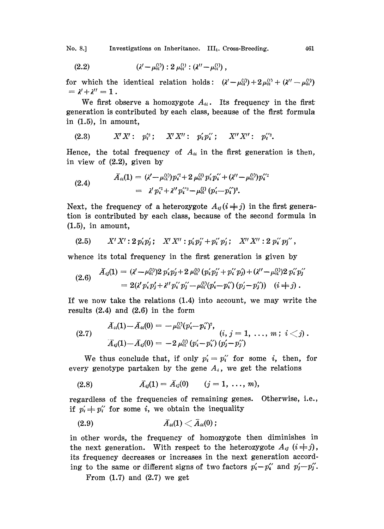No. 8.] Investigations on Inheritance. III<sub>1</sub>. Cross-Breeding. 461

(2.2) 
$$
(\lambda' - \mu_{01}^{(1)}) : 2 \mu_{01}^{(1)} : (\lambda'' - \mu_{01}^{(1)}) ,
$$

for which the identical relation holds:  $(\lambda' - \mu_0^{(1)}) + 2\mu_0^{(1)} + (\lambda'' - \mu_0^{(1)})$  $= \lambda' + \lambda'' = 1$ .

We first observe a homozygote  $A_{ii}$ . Its frequency in the first generation is contributed by each class, because of the first formula in  $(1.5)$ , in amount,

(2.3) 
$$
X'X': p_i'^2
$$
;  $X'X''$ :  $p_i'p_i''$ ;  $X''X''$ :  $p_i'^2$ .

Hence, the total frequency of  $A_{ii}$  in the first generation is then, in view of (2.2), given by

(2.4) 
$$
\bar{A}_{ii}(1) = (\lambda' - \mu_{01}^{(1)})p_i^2 + 2 \mu_{01}^{(1)} p_i' p_i' + (\lambda'' - \mu_{01}^{(1)})p_i'^2 = \lambda' p_i'^2 + \lambda'' p_i'^2 - \mu_{01}^{(1)} (p_i' - p_i')^2.
$$

Next, the frequency of a heterozygote  $A_{ij}$  ( $i \neq j$ ) in the first generation is contributed by each class, because of the second formula in  $(1.5)$ , in amount,

$$
(2.5) \tX'X': 2 p'_i p'_j; X'X'': p'_i p''_j + p''_i p'_j; X''X'': 2 p''_i p''_j,
$$

whence its total frequency in the first generation is given by

$$
(2.6) \quad \tilde{A}_{ij}(1) = (\lambda' - \mu_{01}^{(1)}) 2 \, p'_i p'_j + 2 \, \mu_{01}^{(1)} (p'_i p''_j + p''_i p'_j) + (\lambda'' - \mu_{01}^{(1)}) 2 \, p''_i p''_j = 2(\lambda' p'_i p'_j + \lambda'' p''_i p''_j - \mu_{01}^{(1)} (p'_i - p''_i) (p'_j - p''_j)) \quad (i \neq j).
$$

If we now take the relations  $(1.4)$  into account, we may write the results  $(2.4)$  and  $(2.6)$  in the form

$$
(2.7) \qquad \begin{array}{l} \bar A_{ii}(1) {-} \bar A_{ii}(0) = \; - \, \mu_{01}^{(1)} (p'_i {-} \, p''_i)^{\flat}, \\[1ex] \bar A_{ij}(1) {-} \bar A_{ij}(0) = \; - 2 \, \mu_{01}^{(1)} \left( p'_i {-} \, p''_i \right) \left( p'_j {-} \, p''_j \right) \end{array} \quad (i, \: j = 1, \: \ldots, \: m \: ; \: \: i \; < j) \; .
$$

We thus conclude that, if only  $p'_i = p''_i$  for some i, then, for every genotype partaken by the gene  $A_i$ , we get the relations

(2.8) 
$$
\bar{A}_{ij}(1) = \bar{A}_{ij}(0) \qquad (j = 1, \ldots, m),
$$

regardless of the frequencies of remaining genes. Otherwise, i.e., if  $p'_i \doteq p''_i$  for some i, we obtain the inequality

in other words, the frequency of homozygote then diminishes in the next generation. With respect to the heterozygote  $A_{ij}$   $(i \neq j)$ , its frequency decreases or increases in the next generation according to the same or different signs of two factors  $p'_i-p''_i$  and  $p'_j-p''_j$ .

From  $(1.7)$  and  $(2.7)$  we get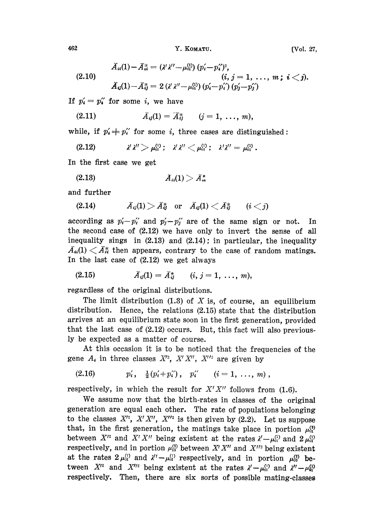<sup>462</sup> Y. KoAr. [VoI. 27,

$$
\bar{A}_{ii}(1) - \bar{A}_{ii}^* = (\lambda' \lambda'' - \mu_{0i}^{(1)}) (p_i' - p_i'')^2, \n(i, j = 1, ..., m; i < j). \n\bar{A}_{ij}(1) - \bar{A}_{ij}^* = 2 (\lambda' \lambda'' - \mu_{0i}^{(1)}) (p_i' - p_i') (p_j' - p_j')
$$

If  $p'_i = p''_i$  for some i, we have

(2.11) 
$$
\bar{A}_{ij}(1) = \bar{A}_{ij}^* \qquad (j = 1, \ldots, m),
$$

while, if  $p'_i \neq p''_i$  for some i, three cases are distinguished:

$$
(2.12) \t\t\t\t\t\lambda' \lambda'' > \mu_{01}^{(1)}; \t\t\t\t\lambda' \lambda'' < \mu_{01}^{(1)}; \t\t\t\t\lambda' \lambda'' = \mu_{01}^{(1)}.
$$

In the first case we get

(2.18) A(1) > A-.:,

and further

(2.14)  $\bar{A}_{ij}(1) > \bar{A}_{ij}^*$  or  $\bar{A}_{ij}(1) < \bar{A}_{ij}^*$   $(i < j)$ 

according as  $p'_i-p''_i$  and  $p'_j-p''_j$  are of the same sign or not. In the second case of (2.12) we have only to invert the sense of all inequality sings in (2.13) and (2.14); in particular, the inequality  $\bar{A}_{\alpha}(1) < \bar{A}_{\alpha}^{*}$  then appears, contrary to the case of random matings. In the last case of  $(2.12)$  we get always

$$
(2.15) \t\t \tilde{A}_{ij}(1) = \tilde{A}_{ij}^* \t\t (i, j = 1, ..., m),
$$

regardless of the original distributions.

The limit distribution (1.3) of X is, of course, an equilibrium distribution. Hence, the relations  $(2.15)$  state that the distribution arrives at an equilibrium state soon in the first generation, provided that the last case of  $(2.12)$  occurs. But, this fact will also previously be expected as a matter of course.

At this occasion it is to be noticed that the frequencies of the gene  $A_i$  in three classes  $X'^2$ ,  $X'X''$ ,  $X''^2$  are given by

$$
(2.16) \t p'_i, \t \tfrac{1}{2}(p'_i+p''_i), \t p''_i \t (i=1,\ldots,m),
$$

respectively, in which the result for  $X'X''$  follows from (1.6).

We assume now that the birth-rates in classes of the original generation are equal each other. The rate of populations belonging to the classes  $X'^2$ ,  $X'X''$ ,  $X''^2$  is then given by (2.2). Let us suppose that, in the first generation, the matings take place in portion  $\mu_{01}^{(2)}$ between  $X'^2$  and  $X'X''$  being existent at the rates  $\lambda' - \mu_0^{(1)}$  and  $2 \mu_0^{(1)}$ respectively, and in portion  $\mu_{12}^{(2)}$  between  $X'X''$  and  $X''$  being existent at the rates  $2 \mu_{01}^{(1)}$  and  $\lambda'' - \mu_{01}^{(1)}$  respectively, and in portion  $\mu_{02}^{(2)}$  between  $X'^2$  and  $X''^2$  being existent at the rates  $\lambda' - \mu_{01}^{(1)}$  and  $\lambda'' - \mu_{01}^{(1)}$ respectively. Then, there are six sorts of possible mating-classe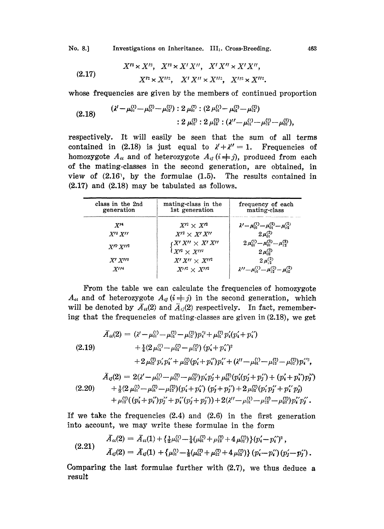No. 8.] Investigations on Inheritance. III<sub>1</sub>. Cross-Breeding. 463

(2.17) 
$$
X'^{2} \times X'^{2}, \quad X'^{2} \times X' X'' , \quad X' X'' \times X' X'' ,
$$

$$
X'^{2} \times X''^{2}, \quad X' X'' \times X''^{2}, \quad X''^{2} \times X''^{2}.
$$

whose frequencies are given by the members of continued proportion

$$
(2.18) \qquad \begin{array}{l}(\lambda'-\mu_{01}^{(1)}-\mu_{01}^{(2)}-\mu_{02}^{(2)}):2\,\mu_{01}^{(1)}:(2\,\mu_{01}^{(1)}-\mu_{01}^{(2)}-\mu_{12}^{(2)})\\ \\ \qquad \qquad :2\,\mu_{02}^{(2)}:2\,\mu_{12}^{(2)}:(\lambda''-\mu_{01}^{(1)}-\mu_{12}^{(2)}-\mu_{02}^{(2)}),\end{array}
$$

respectively. It will easily be seen that the sum of all terms contained in (2.18) is just equal to  $\lambda' + \lambda'' = 1$ . Frequencies of homozygote  $A_{ii}$  and of heterozygote  $A_{ij}$  ( $i \neq j$ ), produced from each of the mating-classes in the second generation, are obtained, in view of (2.16, by the formulae (1.5). The results contained in  $(2.17)$  and  $(2.18)$  may be tabulated as follows.

| class in the 2nd<br>generation       | mating-class in the<br>1st generation                                                                                     | frequency of each<br>mating-class                                          |
|--------------------------------------|---------------------------------------------------------------------------------------------------------------------------|----------------------------------------------------------------------------|
| $X^{\prime 4}$                       | $X^{\prime 2} \times X^{\prime 2}$                                                                                        | $\lambda' - \mu_{01}^{(1)} - \mu_{01}^{(2)} - \mu_{02}^{(2)}$              |
| $X^{\prime}$ 3 $X^{\prime\prime}$    | $X^{\prime 2} \times X^{\prime} X^{\prime \prime}$                                                                        | $2 \mu_{01}^{(2)}$                                                         |
| $X^{\prime 2}$ $X^{\prime \prime 2}$ | $\mathcal{C} X^{\prime} X^{\prime\prime} \times X^{\prime} X^{\prime\prime}$<br>$X^{\prime 2} \times X^{\prime \prime 2}$ | $2 \mu_{01}^{(1)} - \mu_{01}^{(2)} - \mu_{12}^{(2)}$<br>$2 \mu_{02}^{(2)}$ |
| $X'$ $X''$                           | $X' X'' \times X''^2$                                                                                                     | $2 \mu$ <sup>(2)</sup>                                                     |
| $X^{\prime\prime}$ <sup>4</sup>      | $X^{\prime\prime 2}\times X^{\prime\prime 2}$                                                                             | $\lambda'' - \mu_{01}^{(1)} - \mu_{12}^{(2)} - \mu_{02}^{(2)}$             |

From the table we can calculate the frequencies of homozygote  $A_{ii}$  and of heterozygote  $A_{ij}$  ( $i \neq j$ ) in the second generation, which will be denoted by  $\overline{A}_{ii}(2)$  and  $\overline{A}_{ij}(2)$  respectively. In fact, remembering that the frequencies of mating-classes are given in (2.18), we get

$$
\bar{A}_{ii}(2) = (\lambda' - \mu_{01}^{(1)} - \mu_{02}^{(2)} - \mu_{02}^{(3)})p_i^2 + \mu_{01}^{(2)}p_i'(p_i' + p_i')
$$
\n
$$
(2.19) \qquad + \frac{1}{4}(2\mu_{01}^{(1)} - \mu_{02}^{(2)} - \mu_{12}^{(2)}) (p_i' + p_i')^2
$$
\n
$$
+ 2\mu_{02}^{(2)}p_i'p_i' + \mu_{12}^{(2)}(p_i' + p_i')p_i' + (\lambda'' - \mu_{01}^{(1)} - \mu_{12}^{(2)} - \mu_{02}^{(2)})p_i'^2,
$$
\n
$$
\bar{A}_{ij}(2) = 2(\lambda' - \mu_{01}^{(1)} - \mu_{01}^{(2)} - \mu_{02}^{(2)})p_i'p_j' + \mu_{01}^{(2)}(p_i'(p_j' + p_j') + (p_i' + p_i')p_j'')
$$
\n
$$
(2.20) \qquad + \frac{1}{2}(2\mu_{01}^{(1)} - \mu_{01}^{(2)} - \mu_{12}^{(2)})(p_i' + p_i') (p_j' + p_j') + 2\mu_{02}^{(2)}(p_i'p_j' + p_i'p_j')
$$
\n
$$
+ \mu_{12}^{(2)}((p_i' + p_i')p_j'' + p_i'(p_j' + p_j')) + 2(\lambda'' - \mu_{01}^{(1)} - \mu_{12}^{(2)} - \mu_{02}^{(2)})p_i'p_j'.
$$

If we take the frequencies (2.4) and (2.6) in the first generation into account, we may write these formulae in the form

$$
(2.21) \quad \bar{A}_{ii}(2) = \bar{A}_{ii}(1) + \left\{ \frac{1}{2}\mu_{01}^{(1)} - \frac{1}{4}(\mu_{01}^{(2)} + \mu_{12}^{(2)} + 4 \mu_{02}^{(2)}) \right\} (p'_i - p''_i)^2 ,
$$
\n
$$
\bar{A}_{ij}(2) = \bar{A}_{ij}(1) + \left\{ \mu_{01}^{(1)} - \frac{1}{2}(\mu_{01}^{(2)} + \mu_{12}^{(2)} + 4 \mu_{02}^{(2)}) \right\} (p'_i - p''_i)(p'_j - p''_j) .
$$

Comparing the last formulae further with (2.7), we thus deduce a result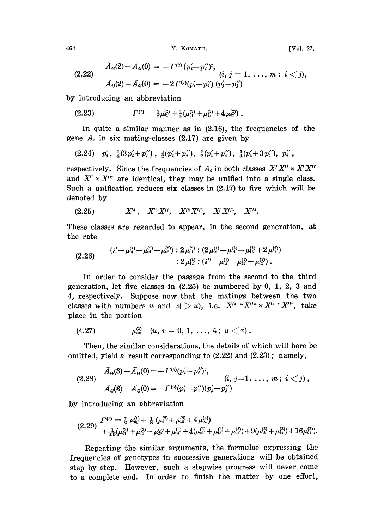464 **Y. KOMATU.** [Vol. 27,

(2.22)

$$
\bar{A}_{ii}(2) - \bar{A}_{ii}(0) = -\Gamma^{(2)}(p'_i - p''_i)^2, \n(i, j = 1, ..., m; i < j), \n\bar{A}_{ij}(2) - \bar{A}_{ij}(0) = -2\Gamma^{(2)}(p'_i - p''_i)(p'_j - p''_j)
$$

by introducing an abbreviation

$$
(2.23) \t\t\t \t\t \Gamma^{(2)} = \tfrac{1}{2}\mu_{01}^{(2)} + \tfrac{1}{4}(\mu_{01}^{(2)} + \mu_{12}^{(2)} + 4\mu_{02}^{(2)}) .
$$

In quite a similar manner as in (2.16), the frequencies of the gene  $A_i$  in six mating-classes (2.17) are given by

$$
(2.24) \quad p'_i, \ \frac{1}{4}(3p'_i+p''_i), \ \frac{1}{2}(p'_i+p''_i), \ \frac{1}{2}(p'_i+p''_i), \ \frac{1}{4}(p'_i+3p''_i), \ p''_i,
$$

respectively. Since the frequencies of  $A_i$  in both classes  $X'X'' \times X'X''$ and  $X^{12} \times X^{1/2}$  are identical, they may be unified into a single class. Such a unification reduces six classes in  $(2.17)$  to five which will be denoted by

$$
(2.25) \tX14, X13X'', X12X''2, X173, X114.
$$

These classes are regarded to appear, in the second generation, at the rate

$$
(2.26) \qquad \begin{array}{l} (\lambda'-\mu_{01}^{(1)}-\mu_{01}^{(2)}-\mu_{22}^{(2)}):2\,\mu_{01}^{(3)}:(2\,\mu_{01}^{(1)}-\mu_{01}^{(2)}-\mu_{12}^{(2)}+2\,\mu_{22}^{(2)})\\ \qquad \qquad :2\,\mu_{12}^{(2)}:(\lambda''-\mu_{01}^{(1)}-\mu_{12}^{(2)}-\mu_{22}^{(2)})\,.\end{array}
$$

In order to consider the passage from the second to the third generation, let five classes in (2.25) be numbered by 0, 1, 2, 3 and 4, respectively. Suppose now that the matings between the two classes with numbers u and  $v( > u)$ , i.e.  $X^{t_{4}-u}X^{t_{4}-v}X^{t_{4}-v}X^{t_{6}}$ , take place in the portion

$$
(4.27) \t\t \t\t \mu_{uv}^{(3)} \t (u, v = 0, 1, ..., 4; u < v).
$$

Then, the similar considerations, the details of which will here be omitted, yield a result corresponding to  $(2.22)$  and  $(2.23)$ ; namely,

$$
(2.28) \quad \overline{A}_{ii}(3) - \overline{A}_{ii}(0) = -I^{'(3)}(p'_i - p''_i)^2, \overline{A}_{ij}(3) - \overline{A}_{ij}(0) = -I^{'(3)}(p'_i - p''_i)(p'_j - p''_j) \n= -I^{'(3)}(p'_i - p''_i)(p'_j - p''_j)
$$

by introducing an abbreviation

$$
(2.29) \frac{\Gamma^{(3)} = \frac{1}{2} \mu_{01}^{(1)} + \frac{1}{8} (\mu_{01}^{(2)} + \mu_{12}^{(2)} + 4 \mu_{02}^{(2)})}{+ \frac{1}{16} (\mu_{01}^{(3)} + \mu_{12}^{(3)} + \mu_{23}^{(3)} + \mu_{34}^{(3)} + 4 (\mu_{02}^{(3)} + \mu_{13}^{(3)} + \mu_{24}^{(3)}) + 9 (\mu_{03}^{(3)} + \mu_{14}^{(3)}) + 16 \mu_{04}^{(3)}.
$$

Repeating the similar arguments, the formulae expressing the frequencies of genotypes in successive generations will be obtained step by step. However, such a stepwise progress will never come to a complete end. In order to finish the matter by one effort,